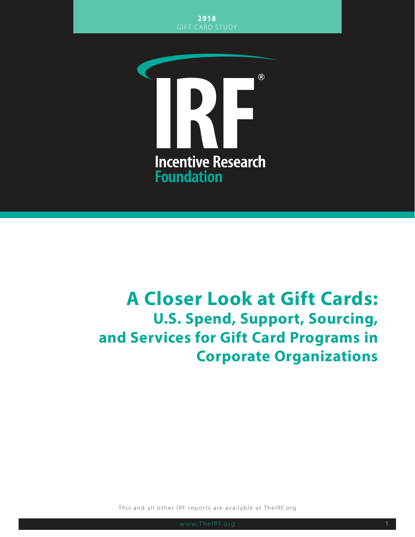

# **A Closer Look at Gift Cards: U.S. Spend, Support, Sourcing, and Services for Gift Card Programs in Corporate Organizations**

This and all other IRF reports are available at TheIRF.org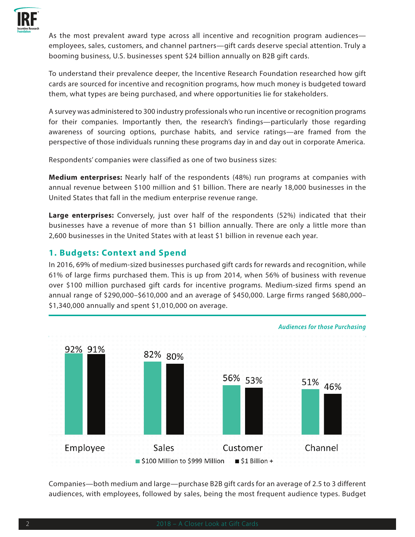

As the most prevalent award type across all incentive and recognition program audiences employees, sales, customers, and channel partners—gift cards deserve special attention. Truly a booming business, U.S. businesses spent \$24 billion annually on B2B gift cards.

To understand their prevalence deeper, the Incentive Research Foundation researched how gift cards are sourced for incentive and recognition programs, how much money is budgeted toward them, what types are being purchased, and where opportunities lie for stakeholders.

A survey was administered to 300 industry professionals who run incentive or recognition programs for their companies. Importantly then, the research's findings—particularly those regarding awareness of sourcing options, purchase habits, and service ratings—are framed from the perspective of those individuals running these programs day in and day out in corporate America.

Respondents' companies were classified as one of two business sizes:

**Medium enterprises:** Nearly half of the respondents (48%) run programs at companies with annual revenue between \$100 million and \$1 billion. There are nearly 18,000 businesses in the United States that fall in the medium enterprise revenue range.

**Large enterprises:** Conversely, just over half of the respondents (52%) indicated that their businesses have a revenue of more than \$1 billion annually. There are only a little more than 2,600 businesses in the United States with at least \$1 billion in revenue each year.

## **1. Budgets: Context and Spend**

In 2016, 69% of medium-sized businesses purchased gift cards for rewards and recognition, while 61% of large firms purchased them. This is up from 2014, when 56% of business with revenue over \$100 million purchased gift cards for incentive programs. Medium-sized firms spend an annual range of \$290,000–\$610,000 and an average of \$450,000. Large firms ranged \$680,000– \$1,340,000 annually and spent \$1,010,000 on average.



Companies—both medium and large—purchase B2B gift cards for an average of 2.5 to 3 different audiences, with employees, followed by sales, being the most frequent audience types. Budget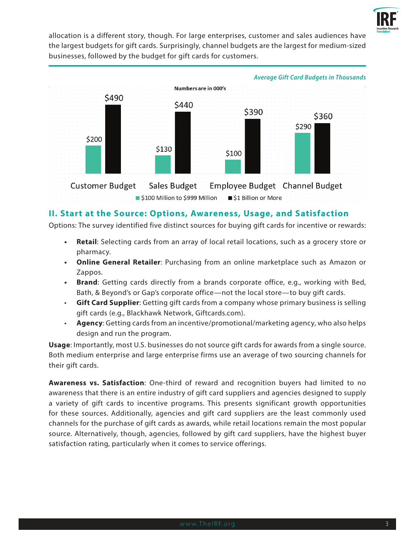

allocation is a different story, though. For large enterprises, customer and sales audiences have the largest budgets for gift cards. Surprisingly, channel budgets are the largest for medium-sized businesses, followed by the budget for gift cards for customers.



#### **II. Start at the Source: Options, Awareness, Usage, and Satisfaction**

Options: The survey identified five distinct sources for buying gift cards for incentive or rewards:

- **• Retail**: Selecting cards from an array of local retail locations, such as a grocery store or pharmacy.
- **• Online General Retailer**: Purchasing from an online marketplace such as Amazon or Zappos.
- **• Brand**: Getting cards directly from a brands corporate office, e.g., working with Bed, Bath, & Beyond's or Gap's corporate office—not the local store—to buy gift cards.
- **Gift Card Supplier**: Getting gift cards from a company whose primary business is selling gift cards (e.g., Blackhawk Network, Giftcards.com).
- **Agency**: Getting cards from an incentive/promotional/marketing agency, who also helps design and run the program.

**Usage**: Importantly, most U.S. businesses do not source gift cards for awards from a single source. Both medium enterprise and large enterprise firms use an average of two sourcing channels for their gift cards.

**Awareness vs. Satisfaction**: One-third of reward and recognition buyers had limited to no awareness that there is an entire industry of gift card suppliers and agencies designed to supply a variety of gift cards to incentive programs. This presents significant growth opportunities for these sources. Additionally, agencies and gift card suppliers are the least commonly used channels for the purchase of gift cards as awards, while retail locations remain the most popular source. Alternatively, though, agencies, followed by gift card suppliers, have the highest buyer satisfaction rating, particularly when it comes to service offerings.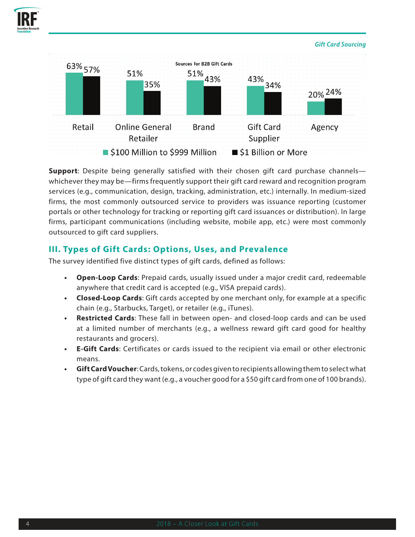



**Support**: Despite being generally satisfied with their chosen gift card purchase channels whichever they may be—firms frequently support their gift card reward and recognition program services (e.g., communication, design, tracking, administration, etc.) internally. In medium-sized firms, the most commonly outsourced service to providers was issuance reporting (customer portals or other technology for tracking or reporting gift card issuances or distribution). In large firms, participant communications (including website, mobile app, etc.) were most commonly outsourced to gift card suppliers.

## **III. Types of Gift Cards: Options, Uses, and Prevalence**

The survey identified five distinct types of gift cards, defined as follows:

- **• Open-Loop Cards**: Prepaid cards, usually issued under a major credit card, redeemable anywhere that credit card is accepted (e.g., VISA prepaid cards).
- **• Closed-Loop Cards**: Gift cards accepted by one merchant only, for example at a specific chain (e.g., Starbucks, Target), or retailer (e.g., iTunes).
- **• Restricted Cards**: These fall in between open- and closed-loop cards and can be used at a limited number of merchants (e.g., a wellness reward gift card good for healthy restaurants and grocers).
- **• E-Gift Cards**: Certificates or cards issued to the recipient via email or other electronic means.
- **• Gift Card Voucher**: Cards, tokens, or codes given to recipients allowing them to select what type of gift card they want (e.g., a voucher good for a \$50 gift card from one of 100 brands).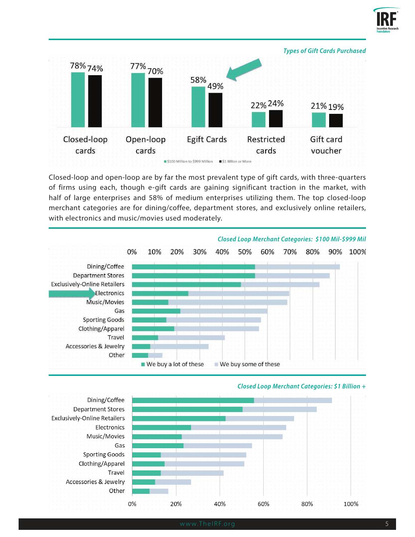



Closed-loop and open-loop are by far the most prevalent type of gift cards, with three-quarters of firms using each, though e-gift cards are gaining significant traction in the market, with half of large enterprises and 58% of medium enterprises utilizing them. The top closed-loop merchant categories are for dining/coffee, department stores, and exclusively online retailers, with electronics and music/movies used moderately.